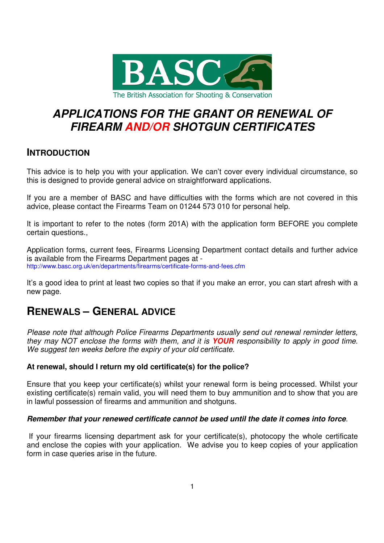

# **APPLICATIONS FOR THE GRANT OR RENEWAL OF FIREARM AND/OR SHOTGUN CERTIFICATES**

# **INTRODUCTION**

This advice is to help you with your application. We can't cover every individual circumstance, so this is designed to provide general advice on straightforward applications.

If you are a member of BASC and have difficulties with the forms which are not covered in this advice, please contact the Firearms Team on 01244 573 010 for personal help.

It is important to refer to the notes (form 201A) with the application form BEFORE you complete certain questions.,

Application forms, current fees, Firearms Licensing Department contact details and further advice is available from the Firearms Department pages at http://www.basc.org.uk/en/departments/firearms/certificate-forms-and-fees.cfm

It's a good idea to print at least two copies so that if you make an error, you can start afresh with a new page.

# **RENEWALS – GENERAL ADVICE**

Please note that although Police Firearms Departments usually send out renewal reminder letters, they may NOT enclose the forms with them, and it is **YOUR** responsibility to apply in good time. We suggest ten weeks before the expiry of your old certificate.

# **At renewal, should I return my old certificate(s) for the police?**

Ensure that you keep your certificate(s) whilst your renewal form is being processed. Whilst your existing certificate(s) remain valid, you will need them to buy ammunition and to show that you are in lawful possession of firearms and ammunition and shotguns.

# **Remember that your renewed certificate cannot be used until the date it comes into force**.

 If your firearms licensing department ask for your certificate(s), photocopy the whole certificate and enclose the copies with your application. We advise you to keep copies of your application form in case queries arise in the future.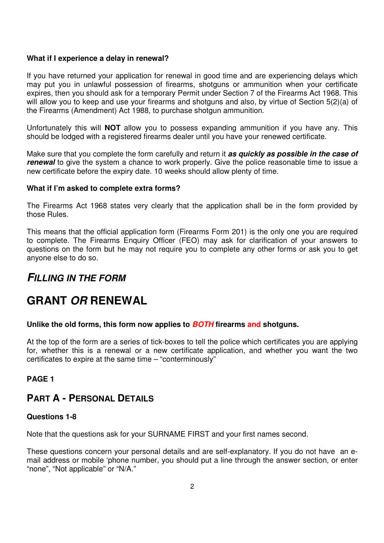### **What if I experience a delay in renewal?**

If you have returned your application for renewal in good time and are experiencing delays which may put you in unlawful possession of firearms, shotguns or ammunition when your certificate expires, then you should ask for a temporary Permit under Section 7 of the Firearms Act 1968. This will allow you to keep and use your firearms and shotguns and also, by virtue of Section 5(2)(a) of the Firearms (Amendment) Act 1988, to purchase shotgun ammunition.

Unfortunately this will **NOT** allow you to possess expanding ammunition if you have any. This should be lodged with a registered firearms dealer until you have your renewed certificate.

Make sure that you complete the form carefully and return it **as quickly as possible in the case of renewal** to give the system a chance to work properly. Give the police reasonable time to issue a new certificate before the expiry date. 10 weeks should allow plenty of time.

### **What if I'm asked to complete extra forms?**

The Firearms Act 1968 states very clearly that the application shall be in the form provided by those Rules.

This means that the official application form (Firearms Form 201) is the only one you are required to complete. The Firearms Enquiry Officer (FEO) may ask for clarification of your answers to questions on the form but he may not require you to complete any other forms or ask you to get anyone else to do so.

# **FILLING IN THE FORM**

# **GRANT OR RENEWAL**

# **Unlike the old forms, this form now applies to BOTH firearms and shotguns.**

At the top of the form are a series of tick-boxes to tell the police which certificates you are applying for, whether this is a renewal or a new certificate application, and whether you want the two certificates to expire at the same time – "conterminously"

# **PAGE 1**

# **PART A - PERSONAL DETAILS**

#### **Questions 1-8**

Note that the questions ask for your SURNAME FIRST and your first names second.

These questions concern your personal details and are self-explanatory. If you do not have an email address or mobile 'phone number, you should put a line through the answer section, or enter "none", "Not applicable" or "N/A."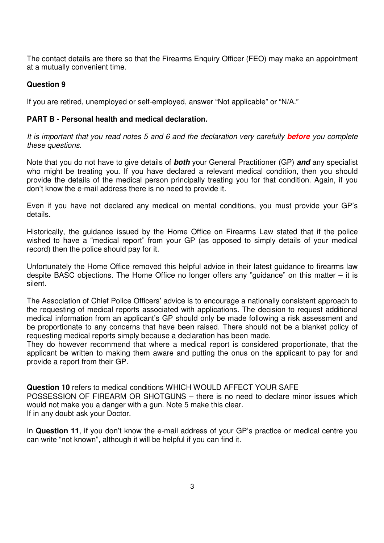The contact details are there so that the Firearms Enquiry Officer (FEO) may make an appointment at a mutually convenient time.

# **Question 9**

If you are retired, unemployed or self-employed, answer "Not applicable" or "N/A."

### **PART B - Personal health and medical declaration.**

It is important that you read notes 5 and 6 and the declaration very carefully **before** you complete these questions.

Note that you do not have to give details of **both** your General Practitioner (GP) **and** any specialist who might be treating you. If you have declared a relevant medical condition, then you should provide the details of the medical person principally treating you for that condition. Again, if you don't know the e-mail address there is no need to provide it.

Even if you have not declared any medical on mental conditions, you must provide your GP's details.

Historically, the guidance issued by the Home Office on Firearms Law stated that if the police wished to have a "medical report" from your GP (as opposed to simply details of your medical record) then the police should pay for it.

Unfortunately the Home Office removed this helpful advice in their latest guidance to firearms law despite BASC objections. The Home Office no longer offers any "guidance" on this matter  $-$  it is silent.

The Association of Chief Police Officers' advice is to encourage a nationally consistent approach to the requesting of medical reports associated with applications. The decision to request additional medical information from an applicant's GP should only be made following a risk assessment and be proportionate to any concerns that have been raised. There should not be a blanket policy of requesting medical reports simply because a declaration has been made.

They do however recommend that where a medical report is considered proportionate, that the applicant be written to making them aware and putting the onus on the applicant to pay for and provide a report from their GP.

**Question 10** refers to medical conditions WHICH WOULD AFFECT YOUR SAFE POSSESSION OF FIREARM OR SHOTGUNS – there is no need to declare minor issues which would not make you a danger with a gun. Note 5 make this clear. If in any doubt ask your Doctor.

In **Question 11**, if you don't know the e-mail address of your GP's practice or medical centre you can write "not known", although it will be helpful if you can find it.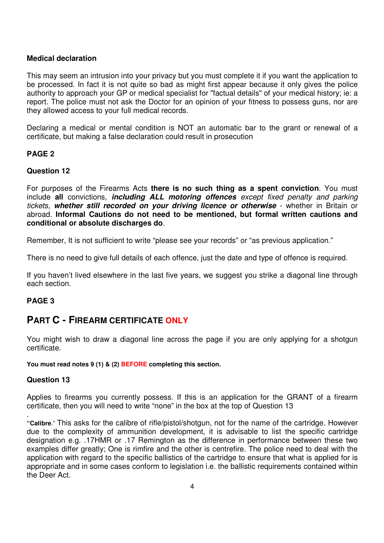### **Medical declaration**

This may seem an intrusion into your privacy but you must complete it if you want the application to be processed. In fact it is not quite so bad as might first appear because it only gives the police authority to approach your GP or medical specialist for "factual details" of your medical history; ie: a report. The police must not ask the Doctor for an opinion of your fitness to possess guns, nor are they allowed access to your full medical records.

Declaring a medical or mental condition is NOT an automatic bar to the grant or renewal of a certificate, but making a false declaration could result in prosecution

# **PAGE 2**

### **Question 12**

For purposes of the Firearms Acts **there is no such thing as a spent conviction**. You must include **all** convictions, **including ALL motoring offences** except fixed penalty and parking tickets, **whether still recorded on your driving licence or otherwise** - whether in Britain or abroad. **Informal Cautions do not need to be mentioned, but formal written cautions and conditional or absolute discharges do**.

Remember, It is not sufficient to write "please see your records" or "as previous application."

There is no need to give full details of each offence, just the date and type of offence is required.

If you haven't lived elsewhere in the last five years, we suggest you strike a diagonal line through each section.

# **PAGE 3**

# **PART C - FIREARM CERTIFICATE ONLY**

You might wish to draw a diagonal line across the page if you are only applying for a shotgun certificate.

**You must read notes 9 (1) & (2) BEFORE completing this section.** 

#### **Question 13**

.

Applies to firearms you currently possess. If this is an application for the GRANT of a firearm certificate, then you will need to write "none" in the box at the top of Question 13

**"Calibre**." This asks for the calibre of rifle/pistol/shotgun, not for the name of the cartridge. However due to the complexity of ammunition development, it is advisable to list the specific cartridge designation e.g. .17HMR or .17 Remington as the difference in performance between these two examples differ greatly; One is rimfire and the other is centrefire. The police need to deal with the application with regard to the specific ballistics of the cartridge to ensure that what is applied for is appropriate and in some cases conform to legislation i.e. the ballistic requirements contained within the Deer Act.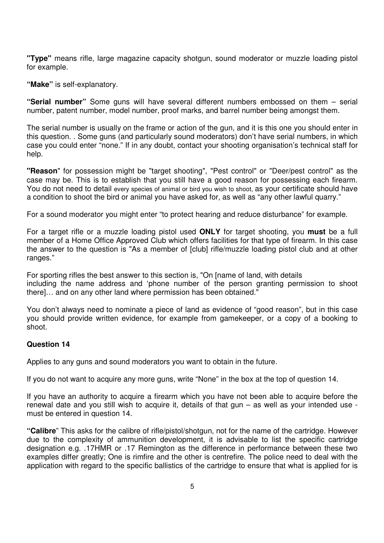**"Type"** means rifle, large magazine capacity shotgun, sound moderator or muzzle loading pistol for example.

**"Make"** is self-explanatory.

**"Serial number"** Some guns will have several different numbers embossed on them – serial number, patent number, model number, proof marks, and barrel number being amongst them.

The serial number is usually on the frame or action of the gun, and it is this one you should enter in this question. . Some guns (and particularly sound moderators) don't have serial numbers, in which case you could enter "none." If in any doubt, contact your shooting organisation's technical staff for help.

**"Reason**" for possession might be "target shooting", "Pest control" or "Deer/pest control" as the case may be. This is to establish that you still have a good reason for possessing each firearm. You do not need to detail every species of animal or bird you wish to shoot, as your certificate should have a condition to shoot the bird or animal you have asked for, as well as "any other lawful quarry."

For a sound moderator you might enter "to protect hearing and reduce disturbance" for example.

For a target rifle or a muzzle loading pistol used **ONLY** for target shooting, you **must** be a full member of a Home Office Approved Club which offers facilities for that type of firearm. In this case the answer to the question is "As a member of [club] rifle/muzzle loading pistol club and at other ranges."

For sporting rifles the best answer to this section is, "On [name of land, with details including the name address and 'phone number of the person granting permission to shoot there]… and on any other land where permission has been obtained."

You don't always need to nominate a piece of land as evidence of "good reason", but in this case you should provide written evidence, for example from gamekeeper, or a copy of a booking to shoot.

#### **Question 14**

Applies to any guns and sound moderators you want to obtain in the future.

If you do not want to acquire any more guns, write "None" in the box at the top of question 14.

If you have an authority to acquire a firearm which you have not been able to acquire before the renewal date and you still wish to acquire it, details of that gun – as well as your intended use must be entered in question 14.

**"Calibre**" This asks for the calibre of rifle/pistol/shotgun, not for the name of the cartridge. However due to the complexity of ammunition development, it is advisable to list the specific cartridge designation e.g. .17HMR or .17 Remington as the difference in performance between these two examples differ greatly; One is rimfire and the other is centrefire. The police need to deal with the application with regard to the specific ballistics of the cartridge to ensure that what is applied for is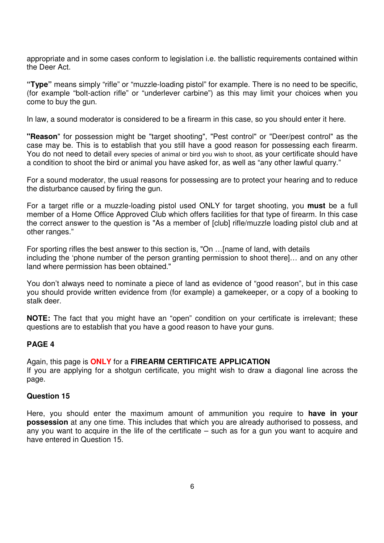appropriate and in some cases conform to legislation i.e. the ballistic requirements contained within the Deer Act.

**"Type"** means simply "rifle" or "muzzle-loading pistol" for example. There is no need to be specific, (for example "bolt-action rifle" or "underlever carbine") as this may limit your choices when you come to buy the gun.

In law, a sound moderator is considered to be a firearm in this case, so you should enter it here.

**"Reason**" for possession might be "target shooting", "Pest control" or "Deer/pest control" as the case may be. This is to establish that you still have a good reason for possessing each firearm. You do not need to detail every species of animal or bird you wish to shoot, as your certificate should have a condition to shoot the bird or animal you have asked for, as well as "any other lawful quarry."

For a sound moderator, the usual reasons for possessing are to protect your hearing and to reduce the disturbance caused by firing the gun.

For a target rifle or a muzzle-loading pistol used ONLY for target shooting, you **must** be a full member of a Home Office Approved Club which offers facilities for that type of firearm. In this case the correct answer to the question is "As a member of [club] rifle/muzzle loading pistol club and at other ranges."

For sporting rifles the best answer to this section is, "On …[name of land, with details including the 'phone number of the person granting permission to shoot there]… and on any other land where permission has been obtained."

You don't always need to nominate a piece of land as evidence of "good reason", but in this case you should provide written evidence from (for example) a gamekeeper, or a copy of a booking to stalk deer.

**NOTE:** The fact that you might have an "open" condition on your certificate is irrelevant; these questions are to establish that you have a good reason to have your guns.

#### **PAGE 4**

#### Again, this page is **ONLY** for a **FIREARM CERTIFICATE APPLICATION**

If you are applying for a shotgun certificate, you might wish to draw a diagonal line across the page.

#### **Question 15**

Here, you should enter the maximum amount of ammunition you require to **have in your possession** at any one time. This includes that which you are already authorised to possess, and any you want to acquire in the life of the certificate – such as for a gun you want to acquire and have entered in Question 15.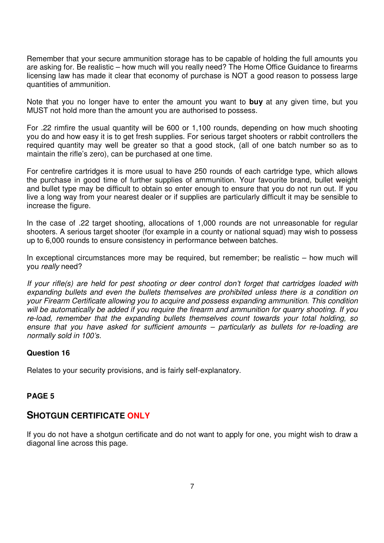Remember that your secure ammunition storage has to be capable of holding the full amounts you are asking for. Be realistic – how much will you really need? The Home Office Guidance to firearms licensing law has made it clear that economy of purchase is NOT a good reason to possess large quantities of ammunition.

Note that you no longer have to enter the amount you want to **buy** at any given time, but you MUST not hold more than the amount you are authorised to possess.

For .22 rimfire the usual quantity will be 600 or 1,100 rounds, depending on how much shooting you do and how easy it is to get fresh supplies. For serious target shooters or rabbit controllers the required quantity may well be greater so that a good stock, (all of one batch number so as to maintain the rifle's zero), can be purchased at one time.

For centrefire cartridges it is more usual to have 250 rounds of each cartridge type, which allows the purchase in good time of further supplies of ammunition. Your favourite brand, bullet weight and bullet type may be difficult to obtain so enter enough to ensure that you do not run out. If you live a long way from your nearest dealer or if supplies are particularly difficult it may be sensible to increase the figure.

In the case of .22 target shooting, allocations of 1,000 rounds are not unreasonable for regular shooters. A serious target shooter (for example in a county or national squad) may wish to possess up to 6,000 rounds to ensure consistency in performance between batches.

In exceptional circumstances more may be required, but remember; be realistic – how much will you really need?

If your rifle(s) are held for pest shooting or deer control don't forget that cartridges loaded with expanding bullets and even the bullets themselves are prohibited unless there is a condition on your Firearm Certificate allowing you to acquire and possess expanding ammunition. This condition will be automatically be added if you require the firearm and ammunition for quarry shooting. If you re-load, remember that the expanding bullets themselves count towards your total holding, so ensure that you have asked for sufficient amounts – particularly as bullets for re-loading are normally sold in 100's.

#### **Question 16**

Relates to your security provisions, and is fairly self-explanatory.

#### **PAGE 5**

# **SHOTGUN CERTIFICATE ONLY**

If you do not have a shotgun certificate and do not want to apply for one, you might wish to draw a diagonal line across this page.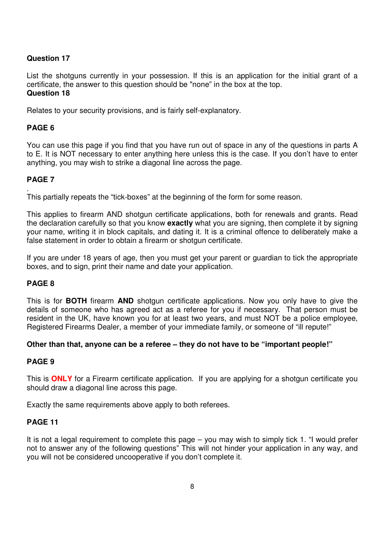# **Question 17**

List the shotguns currently in your possession. If this is an application for the initial grant of a certificate, the answer to this question should be "none" in the box at the top. **Question 18** 

Relates to your security provisions, and is fairly self-explanatory.

# **PAGE 6**

You can use this page if you find that you have run out of space in any of the questions in parts A to E. It is NOT necessary to enter anything here unless this is the case. If you don't have to enter anything, you may wish to strike a diagonal line across the page.

# **PAGE 7**

. This partially repeats the "tick-boxes" at the beginning of the form for some reason.

This applies to firearm AND shotgun certificate applications, both for renewals and grants. Read the declaration carefully so that you know **exactly** what you are signing, then complete it by signing your name, writing it in block capitals, and dating it. It is a criminal offence to deliberately make a false statement in order to obtain a firearm or shotgun certificate.

If you are under 18 years of age, then you must get your parent or guardian to tick the appropriate boxes, and to sign, print their name and date your application.

# **PAGE 8**

This is for **BOTH** firearm **AND** shotgun certificate applications. Now you only have to give the details of someone who has agreed act as a referee for you if necessary. That person must be resident in the UK, have known you for at least two years, and must NOT be a police employee, Registered Firearms Dealer, a member of your immediate family, or someone of "ill repute!"

#### **Other than that, anyone can be a referee – they do not have to be "important people!"**

# **PAGE 9**

This is **ONLY** for a Firearm certificate application. If you are applying for a shotgun certificate you should draw a diagonal line across this page.

Exactly the same requirements above apply to both referees.

#### **PAGE 11**

It is not a legal requirement to complete this page – you may wish to simply tick 1. "I would prefer not to answer any of the following questions" This will not hinder your application in any way, and you will not be considered uncooperative if you don't complete it.